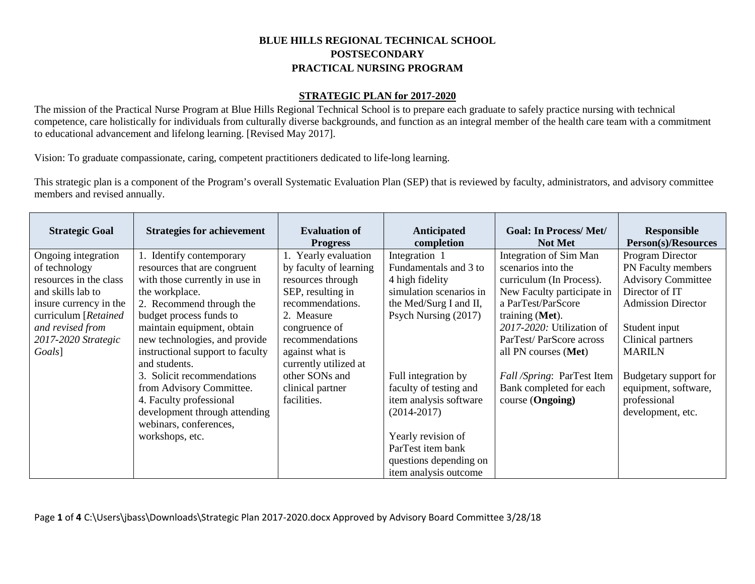## **BLUE HILLS REGIONAL TECHNICAL SCHOOL POSTSECONDARY PRACTICAL NURSING PROGRAM**

## **STRATEGIC PLAN for 2017-2020**

The mission of the Practical Nurse Program at Blue Hills Regional Technical School is to prepare each graduate to safely practice nursing with technical competence, care holistically for individuals from culturally diverse backgrounds, and function as an integral member of the health care team with a commitment to educational advancement and lifelong learning. [Revised May 2017].

Vision: To graduate compassionate, caring, competent practitioners dedicated to life-long learning.

This strategic plan is a component of the Program's overall Systematic Evaluation Plan (SEP) that is reviewed by faculty, administrators, and advisory committee members and revised annually.

| <b>Strategic Goal</b>  | <b>Strategies for achievement</b> | <b>Evaluation of</b><br><b>Progress</b> | <b>Anticipated</b><br>completion | <b>Goal: In Process/Met/</b><br><b>Not Met</b> | Responsible<br>Person(s)/Resources |
|------------------------|-----------------------------------|-----------------------------------------|----------------------------------|------------------------------------------------|------------------------------------|
| Ongoing integration    | 1. Identify contemporary          | Yearly evaluation                       | Integration 1                    | Integration of Sim Man                         | <b>Program Director</b>            |
| of technology          | resources that are congruent      | by faculty of learning                  | Fundamentals and 3 to            | scenarios into the                             | PN Faculty members                 |
| resources in the class | with those currently in use in    | resources through                       | 4 high fidelity                  | curriculum (In Process).                       | <b>Advisory Committee</b>          |
| and skills lab to      | the workplace.                    | SEP, resulting in                       | simulation scenarios in          | New Faculty participate in                     | Director of IT                     |
| insure currency in the | 2. Recommend through the          | recommendations.                        | the Med/Surg I and II,           | a ParTest/ParScore                             | <b>Admission Director</b>          |
| curriculum [Retained]  | budget process funds to           | 2. Measure                              | Psych Nursing (2017)             | training (Met).                                |                                    |
| and revised from       | maintain equipment, obtain        | congruence of                           |                                  | 2017-2020: Utilization of                      | Student input                      |
| 2017-2020 Strategic    | new technologies, and provide     | recommendations                         |                                  | ParTest/ParScore across                        | Clinical partners                  |
| Goals]                 | instructional support to faculty  | against what is                         |                                  | all PN courses (Met)                           | <b>MARILN</b>                      |
|                        | and students.                     | currently utilized at                   |                                  |                                                |                                    |
|                        | 3. Solicit recommendations        | other SONs and                          | Full integration by              | Fall/Spring: ParTest Item                      | Budgetary support for              |
|                        | from Advisory Committee.          | clinical partner                        | faculty of testing and           | Bank completed for each                        | equipment, software,               |
|                        | 4. Faculty professional           | facilities.                             | item analysis software           | course (Ongoing)                               | professional                       |
|                        | development through attending     |                                         | $(2014 - 2017)$                  |                                                | development, etc.                  |
|                        | webinars, conferences,            |                                         |                                  |                                                |                                    |
|                        | workshops, etc.                   |                                         | Yearly revision of               |                                                |                                    |
|                        |                                   |                                         | ParTest item bank                |                                                |                                    |
|                        |                                   |                                         | questions depending on           |                                                |                                    |
|                        |                                   |                                         | item analysis outcome            |                                                |                                    |

Page **1** of **4** C:\Users\jbass\Downloads\Strategic Plan 2017-2020.docx Approved by Advisory Board Committee 3/28/18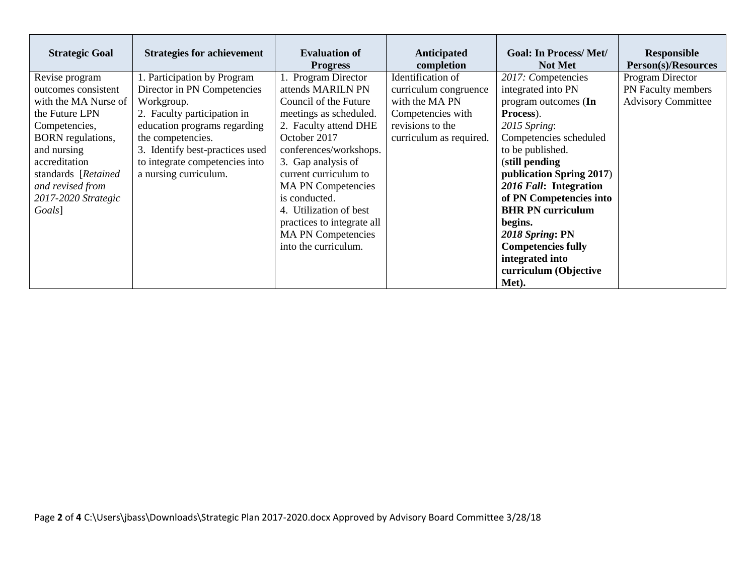| <b>Strategic Goal</b> | <b>Strategies for achievement</b> | <b>Evaluation of</b><br><b>Progress</b> | <b>Anticipated</b><br>completion | <b>Goal: In Process/Met/</b><br><b>Not Met</b> | <b>Responsible</b><br>Person(s)/Resources |
|-----------------------|-----------------------------------|-----------------------------------------|----------------------------------|------------------------------------------------|-------------------------------------------|
| Revise program        | 1. Participation by Program       | 1. Program Director                     | Identification of                | 2017: Competencies                             | Program Director                          |
| outcomes consistent   | Director in PN Competencies       | attends MARILN PN                       | curriculum congruence            | integrated into PN                             | PN Faculty members                        |
| with the MA Nurse of  | Workgroup.                        | Council of the Future                   | with the MA PN                   | program outcomes (In                           | <b>Advisory Committee</b>                 |
| the Future LPN        | 2. Faculty participation in       | meetings as scheduled.                  | Competencies with                | Process).                                      |                                           |
| Competencies,         | education programs regarding      | 2. Faculty attend DHE                   | revisions to the                 | 2015 Spring:                                   |                                           |
| BORN regulations,     | the competencies.                 | October 2017                            | curriculum as required.          | Competencies scheduled                         |                                           |
| and nursing           | 3. Identify best-practices used   | conferences/workshops.                  |                                  | to be published.                               |                                           |
| accreditation         | to integrate competencies into    | 3. Gap analysis of                      |                                  | (still pending                                 |                                           |
| standards [Retained   | a nursing curriculum.             | current curriculum to                   |                                  | publication Spring 2017)                       |                                           |
| and revised from      |                                   | <b>MA PN Competencies</b>               |                                  | 2016 Fall: Integration                         |                                           |
| 2017-2020 Strategic   |                                   | is conducted.                           |                                  | of PN Competencies into                        |                                           |
| Goals]                |                                   | 4. Utilization of best                  |                                  | <b>BHR PN curriculum</b>                       |                                           |
|                       |                                   | practices to integrate all              |                                  | begins.                                        |                                           |
|                       |                                   | <b>MA PN Competencies</b>               |                                  | 2018 Spring: PN                                |                                           |
|                       |                                   | into the curriculum.                    |                                  | <b>Competencies fully</b>                      |                                           |
|                       |                                   |                                         |                                  | integrated into                                |                                           |
|                       |                                   |                                         |                                  | curriculum (Objective                          |                                           |
|                       |                                   |                                         |                                  | Met).                                          |                                           |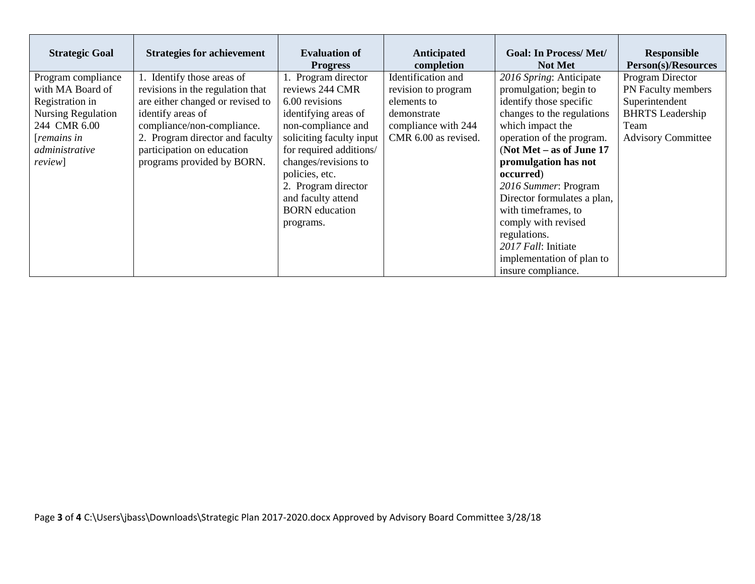| <b>Strategic Goal</b>     | <b>Strategies for achievement</b> | <b>Evaluation of</b><br><b>Progress</b> | Anticipated<br>completion | <b>Goal: In Process/Met/</b><br><b>Not Met</b> | <b>Responsible</b><br>Person(s)/Resources |
|---------------------------|-----------------------------------|-----------------------------------------|---------------------------|------------------------------------------------|-------------------------------------------|
| Program compliance        | 1. Identify those areas of        | 1. Program director                     | Identification and        | 2016 Spring: Anticipate                        | Program Director                          |
| with MA Board of          | revisions in the regulation that  | reviews 244 CMR                         | revision to program       | promulgation; begin to                         | PN Faculty members                        |
| Registration in           | are either changed or revised to  | 6.00 revisions                          | elements to               | identify those specific                        | Superintendent                            |
| <b>Nursing Regulation</b> | identify areas of                 | identifying areas of                    | demonstrate               | changes to the regulations                     | <b>BHRTS</b> Leadership                   |
| 244 CMR 6.00              | compliance/non-compliance.        | non-compliance and                      | compliance with 244       | which impact the                               | Team                                      |
| [remains in]              | 2. Program director and faculty   | soliciting faculty input                | CMR 6.00 as revised.      | operation of the program.                      | <b>Advisory Committee</b>                 |
| administrative            | participation on education        | for required additions/                 |                           | (Not Met $-$ as of June 17                     |                                           |
| <i>review</i> ]           | programs provided by BORN.        | changes/revisions to                    |                           | promulgation has not                           |                                           |
|                           |                                   | policies, etc.                          |                           | occurred)                                      |                                           |
|                           |                                   | 2. Program director                     |                           | 2016 Summer: Program                           |                                           |
|                           |                                   | and faculty attend                      |                           | Director formulates a plan,                    |                                           |
|                           |                                   | <b>BORN</b> education                   |                           | with timeframes, to                            |                                           |
|                           |                                   | programs.                               |                           | comply with revised                            |                                           |
|                           |                                   |                                         |                           | regulations.                                   |                                           |
|                           |                                   |                                         |                           | 2017 Fall: Initiate                            |                                           |
|                           |                                   |                                         |                           | implementation of plan to                      |                                           |
|                           |                                   |                                         |                           | insure compliance.                             |                                           |